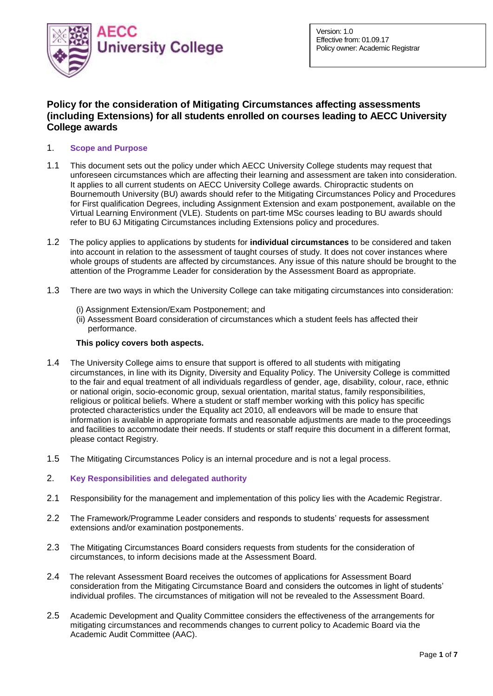

# **Policy for the consideration of Mitigating Circumstances affecting assessments (including Extensions) for all students enrolled on courses leading to AECC University College awards**

# 1. **Scope and Purpose**

- 1.1 This document sets out the policy under which AECC University College students may request that unforeseen circumstances which are affecting their learning and assessment are taken into consideration. It applies to all current students on AECC University College awards. Chiropractic students on Bournemouth University (BU) awards should refer to the Mitigating Circumstances Policy and Procedures for First qualification Degrees, including Assignment Extension and exam postponement, available on the Virtual Learning Environment (VLE). Students on part-time MSc courses leading to BU awards should refer to BU 6J Mitigating Circumstances including Extensions policy and procedures.
- 1.2 The policy applies to applications by students for **individual circumstances** to be considered and taken into account in relation to the assessment of taught courses of study. It does not cover instances where whole groups of students are affected by circumstances. Any issue of this nature should be brought to the attention of the Programme Leader for consideration by the Assessment Board as appropriate.
- 1.3 There are two ways in which the University College can take mitigating circumstances into consideration:
	- (i) Assignment Extension/Exam Postponement; and
	- (ii) Assessment Board consideration of circumstances which a student feels has affected their performance.

### **This policy covers both aspects.**

- 1.4 The University College aims to ensure that support is offered to all students with mitigating circumstances, in line with its Dignity, Diversity and Equality Policy. The University College is committed to the fair and equal treatment of all individuals regardless of gender, age, disability, colour, race, ethnic or national origin, socio-economic group, sexual orientation, marital status, family responsibilities, religious or political beliefs. Where a student or staff member working with this policy has specific protected characteristics under the Equality act 2010, all endeavors will be made to ensure that information is available in appropriate formats and reasonable adjustments are made to the proceedings and facilities to accommodate their needs. If students or staff require this document in a different format, please contact Registry.
- 1.5 The Mitigating Circumstances Policy is an internal procedure and is not a legal process.

# 2. **Key Responsibilities and delegated authority**

- 2.1 Responsibility for the management and implementation of this policy lies with the Academic Registrar.
- 2.2 The Framework/Programme Leader considers and responds to students' requests for assessment extensions and/or examination postponements.
- 2.3 The Mitigating Circumstances Board considers requests from students for the consideration of circumstances, to inform decisions made at the Assessment Board.
- 2.4 The relevant Assessment Board receives the outcomes of applications for Assessment Board consideration from the Mitigating Circumstance Board and considers the outcomes in light of students' individual profiles. The circumstances of mitigation will not be revealed to the Assessment Board.
- 2.5 Academic Development and Quality Committee considers the effectiveness of the arrangements for mitigating circumstances and recommends changes to current policy to Academic Board via the Academic Audit Committee (AAC).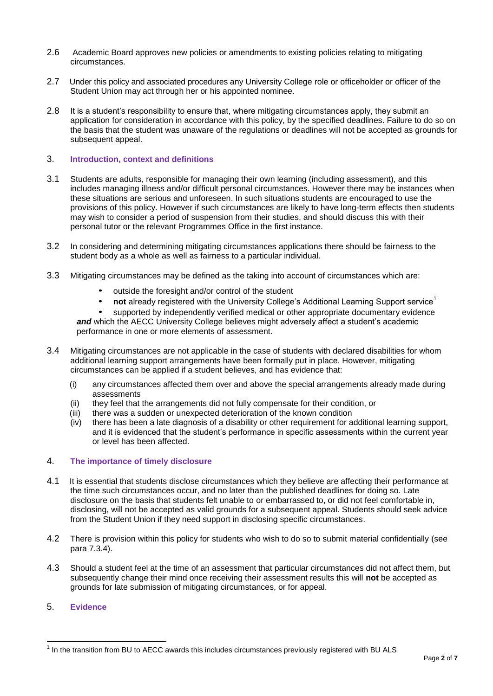- 2.6 Academic Board approves new policies or amendments to existing policies relating to mitigating circumstances.
- 2.7 Under this policy and associated procedures any University College role or officeholder or officer of the Student Union may act through her or his appointed nominee.
- 2.8 It is a student's responsibility to ensure that, where mitigating circumstances apply, they submit an application for consideration in accordance with this policy, by the specified deadlines. Failure to do so on the basis that the student was unaware of the regulations or deadlines will not be accepted as grounds for subsequent appeal.

### 3. **Introduction, context and definitions**

- 3.1 Students are adults, responsible for managing their own learning (including assessment), and this includes managing illness and/or difficult personal circumstances. However there may be instances when these situations are serious and unforeseen. In such situations students are encouraged to use the provisions of this policy. However if such circumstances are likely to have long-term effects then students may wish to consider a period of suspension from their studies, and should discuss this with their personal tutor or the relevant Programmes Office in the first instance.
- 3.2 In considering and determining mitigating circumstances applications there should be fairness to the student body as a whole as well as fairness to a particular individual.
- 3.3 Mitigating circumstances may be defined as the taking into account of circumstances which are:
	- outside the foresight and/or control of the student
	- **not** already registered with the University College's Additional Learning Support service<sup>1</sup><br>• supported by independently verified medical or other appropriate documentary evidence
	- supported by independently verified medical or other appropriate documentary evidence and which the AECC University College believes might adversely affect a student's academic performance in one or more elements of assessment.
- 3.4 Mitigating circumstances are not applicable in the case of students with declared disabilities for whom additional learning support arrangements have been formally put in place. However, mitigating circumstances can be applied if a student believes, and has evidence that:
	- (i) any circumstances affected them over and above the special arrangements already made during assessments
	- (ii) they feel that the arrangements did not fully compensate for their condition, or
	- (iii) there was a sudden or unexpected deterioration of the known condition
	- (iv) there has been a late diagnosis of a disability or other requirement for additional learning support, and it is evidenced that the student's performance in specific assessments within the current year or level has been affected.

# 4. **The importance of timely disclosure**

- 4.1 It is essential that students disclose circumstances which they believe are affecting their performance at the time such circumstances occur, and no later than the published deadlines for doing so. Late disclosure on the basis that students felt unable to or embarrassed to, or did not feel comfortable in, disclosing, will not be accepted as valid grounds for a subsequent appeal. Students should seek advice from the Student Union if they need support in disclosing specific circumstances.
- 4.2 There is provision within this policy for students who wish to do so to submit material confidentially (see para 7.3.4).
- 4.3 Should a student feel at the time of an assessment that particular circumstances did not affect them, but subsequently change their mind once receiving their assessment results this will **not** be accepted as grounds for late submission of mitigating circumstances, or for appeal.
- 5. **Evidence**

 1 In the transition from BU to AECC awards this includes circumstances previously registered with BU ALS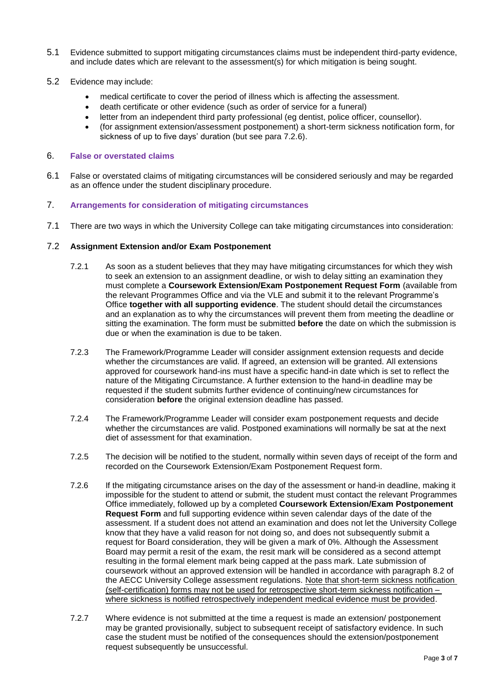- 5.1 Evidence submitted to support mitigating circumstances claims must be independent third-party evidence, and include dates which are relevant to the assessment(s) for which mitigation is being sought.
- 5.2 Evidence may include:
	- medical certificate to cover the period of illness which is affecting the assessment.
	- death certificate or other evidence (such as order of service for a funeral)
	- letter from an independent third party professional (eg dentist, police officer, counsellor).
	- (for assignment extension/assessment postponement) a short-term sickness notification form, for sickness of up to five days' duration (but see para 7.2.6).

### 6. **False or overstated claims**

6.1 False or overstated claims of mitigating circumstances will be considered seriously and may be regarded as an offence under the student disciplinary procedure.

### 7. **Arrangements for consideration of mitigating circumstances**

7.1 There are two ways in which the University College can take mitigating circumstances into consideration:

#### 7.2 **Assignment Extension and/or Exam Postponement**

- 7.2.1 As soon as a student believes that they may have mitigating circumstances for which they wish to seek an extension to an assignment deadline, or wish to delay sitting an examination they must complete a **Coursework Extension/Exam Postponement Request Form** (available from the relevant Programmes Office and via the VLE and submit it to the relevant Programme's Office **together with all supporting evidence**. The student should detail the circumstances and an explanation as to why the circumstances will prevent them from meeting the deadline or sitting the examination. The form must be submitted **before** the date on which the submission is due or when the examination is due to be taken.
- 7.2.3 The Framework/Programme Leader will consider assignment extension requests and decide whether the circumstances are valid. If agreed, an extension will be granted. All extensions approved for coursework hand-ins must have a specific hand-in date which is set to reflect the nature of the Mitigating Circumstance. A further extension to the hand-in deadline may be requested if the student submits further evidence of continuing/new circumstances for consideration **before** the original extension deadline has passed.
- 7.2.4 The Framework/Programme Leader will consider exam postponement requests and decide whether the circumstances are valid. Postponed examinations will normally be sat at the next diet of assessment for that examination.
- 7.2.5 The decision will be notified to the student, normally within seven days of receipt of the form and recorded on the Coursework Extension/Exam Postponement Request form.
- 7.2.6 If the mitigating circumstance arises on the day of the assessment or hand-in deadline, making it impossible for the student to attend or submit, the student must contact the relevant Programmes Office immediately, followed up by a completed **Coursework Extension/Exam Postponement Request Form** and full supporting evidence within seven calendar days of the date of the assessment. If a student does not attend an examination and does not let the University College know that they have a valid reason for not doing so, and does not subsequently submit a request for Board consideration, they will be given a mark of 0%. Although the Assessment Board may permit a resit of the exam, the resit mark will be considered as a second attempt resulting in the formal element mark being capped at the pass mark. Late submission of coursework without an approved extension will be handled in accordance with paragraph 8.2 of the AECC University College assessment regulations. Note that short-term sickness notification (self-certification) forms may not be used for retrospective short-term sickness notification – where sickness is notified retrospectively independent medical evidence must be provided.
- 7.2.7 Where evidence is not submitted at the time a request is made an extension/ postponement may be granted provisionally, subject to subsequent receipt of satisfactory evidence. In such case the student must be notified of the consequences should the extension/postponement request subsequently be unsuccessful.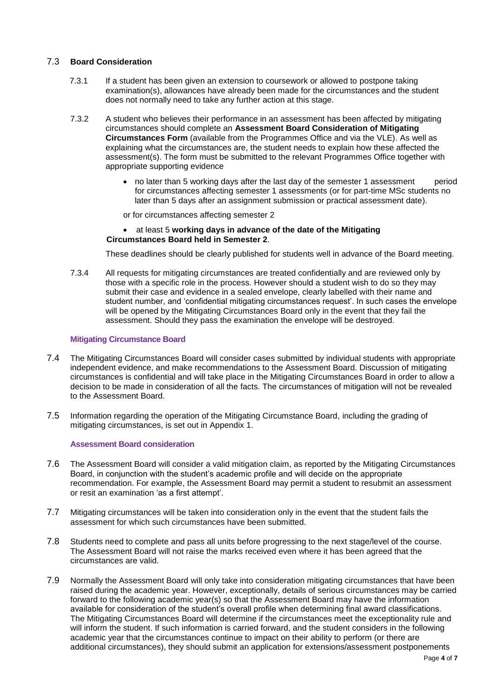### 7.3 **Board Consideration**

- 7.3.1 If a student has been given an extension to coursework or allowed to postpone taking examination(s), allowances have already been made for the circumstances and the student does not normally need to take any further action at this stage.
- 7.3.2 A student who believes their performance in an assessment has been affected by mitigating circumstances should complete an **Assessment Board Consideration of Mitigating Circumstances Form** (available from the Programmes Office and via the VLE). As well as explaining what the circumstances are, the student needs to explain how these affected the assessment(s). The form must be submitted to the relevant Programmes Office together with appropriate supporting evidence
	- no later than 5 working days after the last day of the semester 1 assessment period for circumstances affecting semester 1 assessments (or for part-time MSc students no later than 5 days after an assignment submission or practical assessment date).

or for circumstances affecting semester 2

#### at least 5 **working days in advance of the date of the Mitigating Circumstances Board held in Semester 2**.

These deadlines should be clearly published for students well in advance of the Board meeting.

7.3.4 All requests for mitigating circumstances are treated confidentially and are reviewed only by those with a specific role in the process. However should a student wish to do so they may submit their case and evidence in a sealed envelope, clearly labelled with their name and student number, and 'confidential mitigating circumstances request'. In such cases the envelope will be opened by the Mitigating Circumstances Board only in the event that they fail the assessment. Should they pass the examination the envelope will be destroyed.

### **Mitigating Circumstance Board**

- 7.4 The Mitigating Circumstances Board will consider cases submitted by individual students with appropriate independent evidence, and make recommendations to the Assessment Board. Discussion of mitigating circumstances is confidential and will take place in the Mitigating Circumstances Board in order to allow a decision to be made in consideration of all the facts. The circumstances of mitigation will not be revealed to the Assessment Board.
- 7.5 Information regarding the operation of the Mitigating Circumstance Board, including the grading of mitigating circumstances, is set out in Appendix 1.

#### **Assessment Board consideration**

- 7.6 The Assessment Board will consider a valid mitigation claim, as reported by the Mitigating Circumstances Board, in conjunction with the student's academic profile and will decide on the appropriate recommendation. For example, the Assessment Board may permit a student to resubmit an assessment or resit an examination 'as a first attempt'.
- 7.7 Mitigating circumstances will be taken into consideration only in the event that the student fails the assessment for which such circumstances have been submitted.
- 7.8 Students need to complete and pass all units before progressing to the next stage/level of the course. The Assessment Board will not raise the marks received even where it has been agreed that the circumstances are valid.
- 7.9 Normally the Assessment Board will only take into consideration mitigating circumstances that have been raised during the academic year. However, exceptionally, details of serious circumstances may be carried forward to the following academic year(s) so that the Assessment Board may have the information available for consideration of the student's overall profile when determining final award classifications. The Mitigating Circumstances Board will determine if the circumstances meet the exceptionality rule and will inform the student. If such information is carried forward, and the student considers in the following academic year that the circumstances continue to impact on their ability to perform (or there are additional circumstances), they should submit an application for extensions/assessment postponements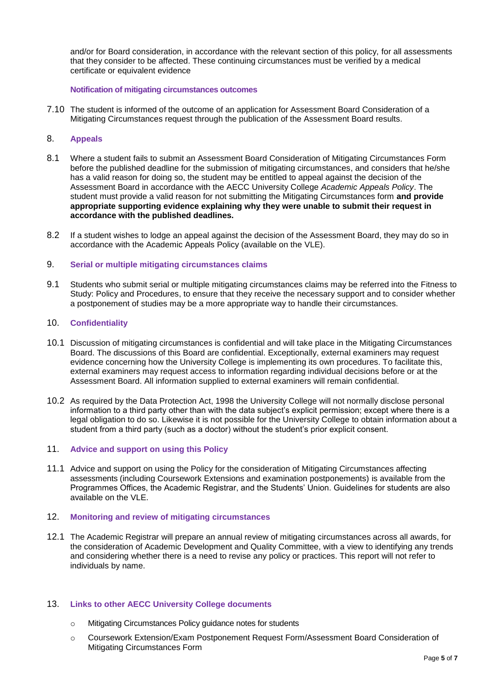and/or for Board consideration, in accordance with the relevant section of this policy, for all assessments that they consider to be affected. These continuing circumstances must be verified by a medical certificate or equivalent evidence

#### **Notification of mitigating circumstances outcomes**

- 7.10 The student is informed of the outcome of an application for Assessment Board Consideration of a Mitigating Circumstances request through the publication of the Assessment Board results.
- 8. **Appeals**
- 8.1 Where a student fails to submit an Assessment Board Consideration of Mitigating Circumstances Form before the published deadline for the submission of mitigating circumstances, and considers that he/she has a valid reason for doing so, the student may be entitled to appeal against the decision of the Assessment Board in accordance with the AECC University College *Academic Appeals Policy*. The student must provide a valid reason for not submitting the Mitigating Circumstances form **and provide appropriate supporting evidence explaining why they were unable to submit their request in accordance with the published deadlines.**
- 8.2 If a student wishes to lodge an appeal against the decision of the Assessment Board, they may do so in accordance with the Academic Appeals Policy (available on the VLE).

### 9. **Serial or multiple mitigating circumstances claims**

9.1 Students who submit serial or multiple mitigating circumstances claims may be referred into the Fitness to Study: Policy and Procedures, to ensure that they receive the necessary support and to consider whether a postponement of studies may be a more appropriate way to handle their circumstances.

### 10. **Confidentiality**

- 10.1 Discussion of mitigating circumstances is confidential and will take place in the Mitigating Circumstances Board. The discussions of this Board are confidential. Exceptionally, external examiners may request evidence concerning how the University College is implementing its own procedures. To facilitate this, external examiners may request access to information regarding individual decisions before or at the Assessment Board. All information supplied to external examiners will remain confidential.
- 10.2 As required by the Data Protection Act, 1998 the University College will not normally disclose personal information to a third party other than with the data subject's explicit permission; except where there is a legal obligation to do so. Likewise it is not possible for the University College to obtain information about a student from a third party (such as a doctor) without the student's prior explicit consent.

# 11. **Advice and support on using this Policy**

11.1 Advice and support on using the Policy for the consideration of Mitigating Circumstances affecting assessments (including Coursework Extensions and examination postponements) is available from the Programmes Offices, the Academic Registrar, and the Students' Union. Guidelines for students are also available on the VLE.

# 12. **Monitoring and review of mitigating circumstances**

12.1 The Academic Registrar will prepare an annual review of mitigating circumstances across all awards, for the consideration of Academic Development and Quality Committee, with a view to identifying any trends and considering whether there is a need to revise any policy or practices. This report will not refer to individuals by name.

# 13. **Links to other AECC University College documents**

- o Mitigating Circumstances Policy guidance notes for students
- o Coursework Extension/Exam Postponement Request Form/Assessment Board Consideration of Mitigating Circumstances Form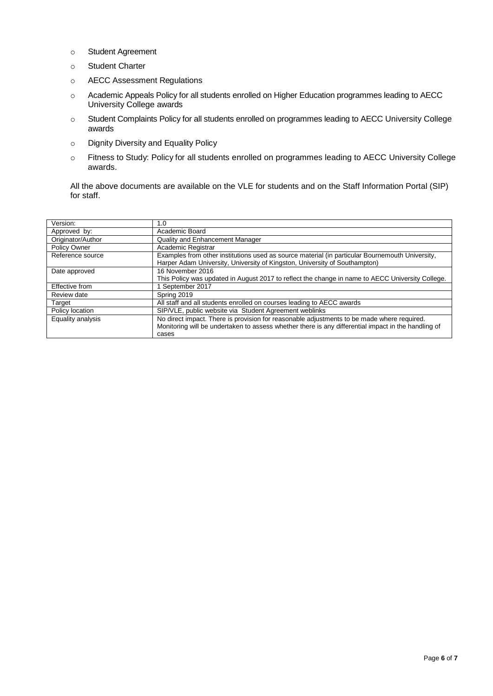- o Student Agreement
- o Student Charter
- o AECC Assessment Regulations
- o Academic Appeals Policy for all students enrolled on Higher Education programmes leading to AECC University College awards
- o Student Complaints Policy for all students enrolled on programmes leading to AECC University College awards
- o Dignity Diversity and Equality Policy
- o Fitness to Study: Policy for all students enrolled on programmes leading to AECC University College awards.

All the above documents are available on the VLE for students and on the Staff Information Portal (SIP) for staff.

| Version:          | 1.0                                                                                                                                                                           |
|-------------------|-------------------------------------------------------------------------------------------------------------------------------------------------------------------------------|
| Approved by:      | Academic Board                                                                                                                                                                |
| Originator/Author | Quality and Enhancement Manager                                                                                                                                               |
| Policy Owner      | Academic Registrar                                                                                                                                                            |
| Reference source  | Examples from other institutions used as source material (in particular Bournemouth University,<br>Harper Adam University, University of Kingston, University of Southampton) |
| Date approved     | 16 November 2016                                                                                                                                                              |
|                   | This Policy was updated in August 2017 to reflect the change in name to AECC University College.                                                                              |
| Effective from    | September 2017                                                                                                                                                                |
| Review date       | Spring 2019                                                                                                                                                                   |
| Target            | All staff and all students enrolled on courses leading to AECC awards                                                                                                         |
| Policy location   | SIP/VLE, public website via Student Agreement weblinks                                                                                                                        |
| Equality analysis | No direct impact. There is provision for reasonable adjustments to be made where required.                                                                                    |
|                   | Monitoring will be undertaken to assess whether there is any differential impact in the handling of                                                                           |
|                   | cases                                                                                                                                                                         |